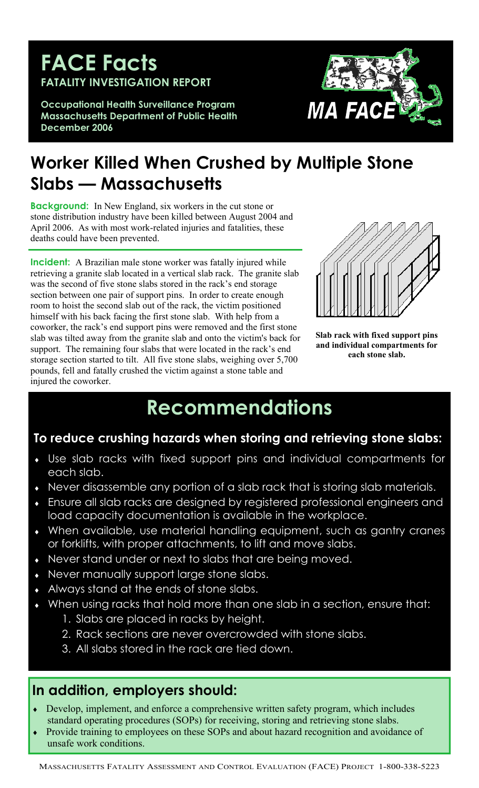## **FACE Facts FATALITY INVESTIGATION REPORT**

**Occupational Health Surveillance Program Massachusetts Department of Public Health December 2006**



# **Worker Killed When Crushed by Multiple Stone Slabs — Massachusetts**

**Background:** In New England, six workers in the cut stone or stone distribution industry have been killed between August 2004 and April 2006. As with most work-related injuries and fatalities, these deaths could have been prevented.

**Incident:** A Brazilian male stone worker was fatally injured while retrieving a granite slab located in a vertical slab rack. The granite slab was the second of five stone slabs stored in the rack's end storage section between one pair of support pins. In order to create enough room to hoist the second slab out of the rack, the victim positioned himself with his back facing the first stone slab. With help from a coworker, the rack's end support pins were removed and the first stone slab was tilted away from the granite slab and onto the victim's back for support. The remaining four slabs that were located in the rack's end storage section started to tilt. All five stone slabs, weighing over 5,700 pounds, fell and fatally crushed the victim against a stone table and injured the coworker.



**Slab rack with fixed support pins and individual compartments for each stone slab.** 

# **Recommendations**

## **To reduce crushing hazards when storing and retrieving stone slabs:**

- ♦ Use slab racks with fixed support pins and individual compartments for each slab.
- Never disassemble any portion of a slab rack that is storing slab materials.
- Ensure all slab racks are designed by registered professional engineers and load capacity documentation is available in the workplace.
- ♦ When available, use material handling equipment, such as gantry cranes or forklifts, with proper attachments, to lift and move slabs.
- ♦ Never stand under or next to slabs that are being moved.
- Never manually support large stone slabs.
- Always stand at the ends of stone slabs.
- When using racks that hold more than one slab in a section, ensure that:
	- 1. Slabs are placed in racks by height.
	- 2. Rack sections are never overcrowded with stone slabs.
	- 3. All slabs stored in the rack are tied down.

## **In addition, employers should:**

- ♦ Develop, implement, and enforce a comprehensive written safety program, which includes standard operating procedures (SOPs) for receiving, storing and retrieving stone slabs.
- Provide training to employees on these SOPs and about hazard recognition and avoidance of unsafe work conditions.